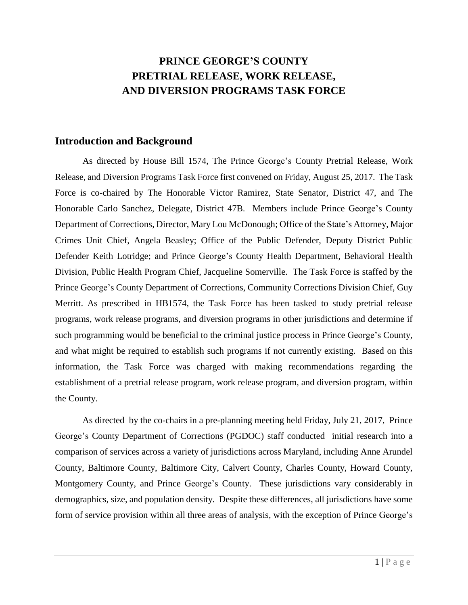## **PRINCE GEORGE'S COUNTY PRETRIAL RELEASE, WORK RELEASE, AND DIVERSION PROGRAMS TASK FORCE**

### **Introduction and Background**

As directed by House Bill 1574, The Prince George's County Pretrial Release, Work Release, and Diversion Programs Task Force first convened on Friday, August 25, 2017. The Task Force is co-chaired by The Honorable Victor Ramirez, State Senator, District 47, and The Honorable Carlo Sanchez, Delegate, District 47B. Members include Prince George's County Department of Corrections, Director, Mary Lou McDonough; Office of the State's Attorney, Major Crimes Unit Chief, Angela Beasley; Office of the Public Defender, Deputy District Public Defender Keith Lotridge; and Prince George's County Health Department, Behavioral Health Division, Public Health Program Chief, Jacqueline Somerville. The Task Force is staffed by the Prince George's County Department of Corrections, Community Corrections Division Chief, Guy Merritt. As prescribed in HB1574, the Task Force has been tasked to study pretrial release programs, work release programs, and diversion programs in other jurisdictions and determine if such programming would be beneficial to the criminal justice process in Prince George's County, and what might be required to establish such programs if not currently existing. Based on this information, the Task Force was charged with making recommendations regarding the establishment of a pretrial release program, work release program, and diversion program, within the County.

As directed by the co-chairs in a pre-planning meeting held Friday, July 21, 2017, Prince George's County Department of Corrections (PGDOC) staff conducted initial research into a comparison of services across a variety of jurisdictions across Maryland, including Anne Arundel County, Baltimore County, Baltimore City, Calvert County, Charles County, Howard County, Montgomery County, and Prince George's County. These jurisdictions vary considerably in demographics, size, and population density. Despite these differences, all jurisdictions have some form of service provision within all three areas of analysis, with the exception of Prince George's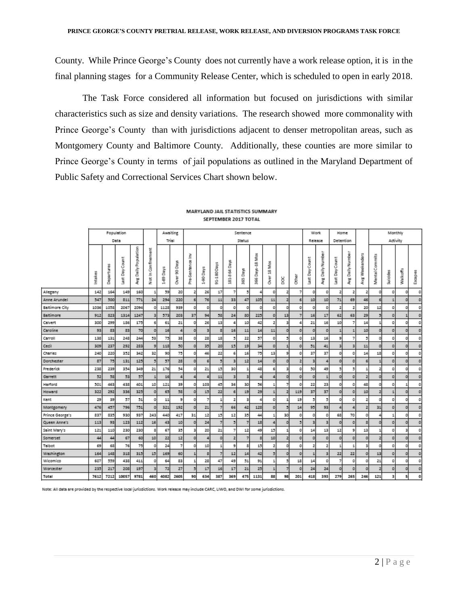County. While Prince George's County does not currently have a work release option, it is in the final planning stages for a Community Release Center, which is scheduled to open in early 2018.

The Task Force considered all information but focused on jurisdictions with similar characteristics such as size and density variations. The research showed more commonality with Prince George's County than with jurisdictions adjacent to denser metropolitan areas, such as Montgomery County and Baltimore County. Additionally, these counties are more similar to Prince George's County in terms of jail populations as outlined in the Maryland Department of Public Safety and Correctional Services Chart shown below.

|                 |         |            | Population     |                          |                         | Awaiting  |                   |                       |                |                |                 | Sentence       |                   |                |                |                | Work                    |                             | Home           |                           |                |                | Monthly   |          |                |
|-----------------|---------|------------|----------------|--------------------------|-------------------------|-----------|-------------------|-----------------------|----------------|----------------|-----------------|----------------|-------------------|----------------|----------------|----------------|-------------------------|-----------------------------|----------------|---------------------------|----------------|----------------|-----------|----------|----------------|
|                 |         |            | Data           |                          |                         | Trial     |                   |                       |                |                |                 | Status         |                   |                |                |                | Release                 |                             | Detention      |                           |                |                | Activity  |          |                |
|                 | Intakes | Departures | Day Count<br>ä | Daily Population<br>ang. | finement<br>ā<br>Ξ<br>š | Days<br>ę | Days<br>8<br>Över | ≧<br>8<br>ã<br>š<br>È | Days<br>ğ      | 91-180 Days    | Days<br>181-364 | Days<br>365    | Days-18 Mos<br>\$ | š<br>呉<br>ð    | ğ              | <b>Sther</b>   | Count<br>ă<br>ä         | Dailly Numbe<br><b>Bray</b> | DayCount<br>ä  | Daily Numbe<br><b>RNR</b> | Avg Weekenders | Mental Commits | Su icides | Walkoffs | Escapes        |
| Allegany        | 142     | 164        | 149            | 160                      |                         | 59        | 20                | $\overline{2}$        | 26             | 17             | $\overline{7}$  | 5              |                   | $\circ$        | 2              | 7              | $\circ$                 | 0                           | $\overline{z}$ | $\overline{2}$            | $\overline{z}$ | o              | 0         | o        | $\circ$        |
| Anne Arundel    | 547     | 500        | 811            | 771                      | 24                      | 294       | 220               |                       | 76             | 11             | 33              | 47             | 105               | 11             | $\overline{z}$ | $\epsilon$     | 10                      | 10                          | 71             | 69                        | 46             |                |           | o        | $\circ$        |
| Baltimore City  | 1036    | 1058       | 2067           | 2094                     | o                       | 1128      | 939               | o                     | $\circ$        | $\circ$        | $\circ$         | $\circ$        | $\circ$           | $\circ$        | o              | $\circ$        | $\circ$                 | $\circ$                     | $\overline{z}$ | $\overline{2}$            | 20             | 12             | $\circ$   | o        | 0              |
| Baltimore       | 912     | 823        | 1314           | 1247                     |                         | 573       | 203               | 37                    | 94             | 58             | 24              | 80             | 225               | $\circ$        | 13             | $\overline{7}$ | 16                      | 17                          | 62             | 63                        | 29             |                | O.        |          | $\circ$        |
| Calvert         | 300     | 299        | 186            | 175                      | 6                       | 61        | 21                | o                     | 26             | 13             | 4               | 10             | 42                | 2              | 3              | 4              | 21                      | 16                          | 10             | 7                         | 14             |                | o         | o        | O              |
| Caroline        | 93      | 83         | 83             | 70                       | $\circ$                 | 16        | 4                 | $\circ$               | $\overline{3}$ | 3              | 16              | 11             | 14                | 11             | $\circ$        | $\circ$        | $\circ$                 | $\circ$                     | $\mathbf{1}$   | $\mathbf{1}$              | 10             | $\circ$        | $\circ$   | $\circ$  | $\circ$        |
| Carroll         | 138     | 131        | 248            | 244                      | 53                      | 75        | 38                | O                     | 28             | 18             | 5               | 22             | 57                | $\circ$        | 51             | $\circ$        | 13                      | 16                          | 9              | $\overline{7}$            |                | $\circ$        | $\circ$   | o        | 0              |
| Cecil           | 309     | 237        | 292            | 283                      |                         | 118       | 50                | $\circ$               | 35             | 20             | 15              | 19             | 34                | $\circ$        |                | $\circ$        | 51                      | 41                          | з              | $\overline{3}$            | 11             | $\circ$        | O.        | o        | 0              |
| Charles         | 240     | 220        | 352            | 342                      | 32                      | 90        | 75                | $\Omega$              | 46             | 22             | 6               | 16             | 75                | 13             | 9              | $\circ$        | 37                      | 37                          | $\circ$        | $\circ$                   | 14             | 18             | $\circ$   | o        | 0              |
| Dorchester      | 87      | 75         | 131            | 125                      |                         | 57        | 28                | O                     | 6              |                | $\overline{3}$  | 12             | 14                | $\circ$        | o              | $\overline{2}$ | $\overline{\mathbf{3}}$ |                             | $\circ$        | $\circ$                   | 6              |                | $\circ$   | $\circ$  | $\circ$        |
| Frederick       | 238     | 239        | 354            | 349                      | 21                      | 176       | 54                | O                     | 21             | 15             | 30              | $\mathbf{1}$   | 48                | 6              | з              | 0              | 50                      | 49                          | 5              | 5                         |                | $\overline{z}$ | $\circ$   | o        | o              |
| Garrett         | 52      | 58         | 53             | 57                       |                         | 16        | 4                 |                       | 4              | 11             | з               | 3              |                   |                | o              | $\circ$        | $\circ$                 |                             | $\circ$        | $\circ$                   | $\overline{z}$ | $\circ$        | $\circ$   | o        | $\circ$        |
| Harford         | 501     | 463        | 438            | 401                      | 10                      | 121       | 39                | $\Omega$              | 103            | 45             | 36              | 30             | 56                |                | 7              | $\circ$        | 22                      | 23                          | $\circ$        | $\circ$                   | 48             | o              | $\circ$   |          | 0              |
| Howard          | 322     | 292        | 336            | 325                      | $\circ$                 | 65        | 58                | $\circ$               | 15             | 22             | 6               | 19             | 29                |                | z              | 119            | 37                      | 37                          | $\circ$        | $\circ$                   | 10             | $\overline{z}$ |           | o        | $\circ$        |
| Kent            | 29      | 39         | 57             | 51                       | $\circ$                 | 11        | 9                 | o                     | $\overline{z}$ |                | 2               | 3              |                   | $\circ$        |                | 19             | 3                       | 5                           | $\circ$        | $\circ$                   | 2              | $\circ$        | $\circ$   | o        | $\circ$        |
| Montgomery      | 476     | 457        | 796            | 751                      | $\circ$                 | 321       | 192               | $\circ$               | 21             | $\overline{7}$ | 66              | 42             | 128               | $\circ$        | 5              | 14             | 95                      | 93                          | 4              | 4                         | $\mathbf{z}$   | 31             | O.        | o        | $\circ$        |
| Prince George's | 837     | 835        | 930            | 937                      | 243                     | 440       | 417               | 31                    | $12$           | 15             | 12              | 35             | 44                |                | 30             | $\circ$        | $\circ$                 | 0                           | 68             | 70                        | $\circ$        |                |           | $\circ$  | 0              |
| Queen Anne's    | 113     | 93         | 123            | 112                      | 16                      | 43        | 10                | $\circ$               | 24             | 7              | 5               | $\overline{7}$ | 18                |                | o              | 5              | в                       | з                           | $\circ$        | $\circ$                   | 8              | $\circ$        | o         | o        | $\circ$        |
| saint Mary's    | 121     | 110        | 230            | 230                      | 8                       | 67        | 35                | 3                     | 20             | 21             | 7               | 12             | 49                | 15             | 1              | $\circ$        | 14                      | 13                          | 12             | 9                         | 13             |                | $\circ$   | з        | 0              |
| Somerset        | 44      | 44         | 67             | 60                       | 10                      | 22        | 12                | $\theta$              | 4              | $\circ$        | $\overline{2}$  | $\overline{7}$ | $\mathbf{z}$      | 10             | $\overline{z}$ | $\circ$        | $\circ$                 | $\circ$                     | $\circ$        | $\circ$                   | $\circ$        | $\overline{2}$ | $\circ$   | o        | o              |
| Talbot          | 69      | 68         | 76             | 75                       | $\circ$                 | 24        | $\overline{z}$    | 0                     | $10$           |                | 9               | $\bar{z}$      | 15                | $\overline{2}$ | o              | 0              | $\overline{z}$          | $\mathbf{z}$                | $\mathbf{1}$   | $\overline{1}$            | В              | $\circ$        | $\circ$   | o        | O              |
| Washington      | 164     | 148        | 318            | 315                      | 15                      | 169       | 60                |                       | s.             |                | 12              | 14             | 42                | 5              | $\circ$        | $\circ$        |                         | з                           | 22             | 22                        | $\circ$        | 13             | $\circ$   | o        | $\circ$        |
| Wicomico        | 607     | 559        | 438            | 411                      | $^{\circ}$              | 64        | 83                |                       | 28             | 47             | 49              | 51             | 91                |                | 5              | 18             | 14                      | $\circ$                     | 7              | $\circ$                   | $\circ$        | 21             | O.        | o        | 0              |
| Worcester       | 235     | 217        | 208            | 197                      |                         | 72        | 27                |                       | 17             | 16             | 17              | 21             | 25                |                | 7              | $\circ$        | 24                      | 24                          | $\circ$        | $\circ$                   | o              | $\overline{z}$ | $\circ$   | o        | $\overline{0}$ |
| Total           | 7612    | 7212       | 10057          | 9781                     | 460                     | 4082      | 2605              | 90                    | 634            | 387            | 369             | 475            | 1131              | 88             | 98             | 201            | 418                     | 393                         | 279            | 265                       | 246            | 121            | 3         | 5        | $\circ$        |

#### MARYLAND JAIL STATISTICS SUMMARY SEPTEMBER 2017 TOTAL

Note: All data are provided by the respective local jurisdictions. Work release may include CARC, LIWO, and DWI for some jurisdictions.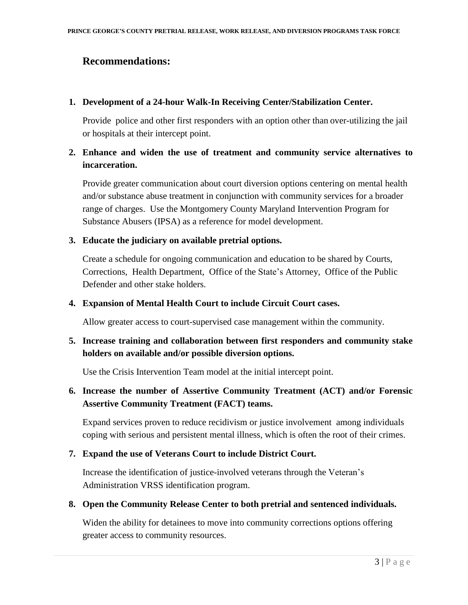### **Recommendations:**

#### **1. Development of a 24-hour Walk-In Receiving Center/Stabilization Center.**

Provide police and other first responders with an option other than over-utilizing the jail or hospitals at their intercept point.

### **2. Enhance and widen the use of treatment and community service alternatives to incarceration.**

Provide greater communication about court diversion options centering on mental health and/or substance abuse treatment in conjunction with community services for a broader range of charges. Use the Montgomery County Maryland Intervention Program for Substance Abusers (IPSA) as a reference for model development.

### **3. Educate the judiciary on available pretrial options.**

Create a schedule for ongoing communication and education to be shared by Courts, Corrections, Health Department, Office of the State's Attorney, Office of the Public Defender and other stake holders.

#### **4. Expansion of Mental Health Court to include Circuit Court cases.**

Allow greater access to court-supervised case management within the community.

### **5. Increase training and collaboration between first responders and community stake holders on available and/or possible diversion options.**

Use the Crisis Intervention Team model at the initial intercept point.

### **6. Increase the number of Assertive Community Treatment (ACT) and/or Forensic Assertive Community Treatment (FACT) teams.**

Expand services proven to reduce recidivism or justice involvement among individuals coping with serious and persistent mental illness, which is often the root of their crimes.

### **7. Expand the use of Veterans Court to include District Court.**

Increase the identification of justice-involved veterans through the Veteran's Administration VRSS identification program.

#### **8. Open the Community Release Center to both pretrial and sentenced individuals.**

Widen the ability for detainees to move into community corrections options offering greater access to community resources.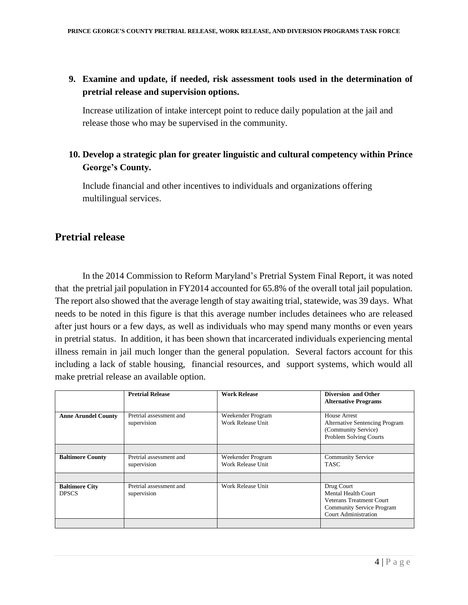### **9. Examine and update, if needed, risk assessment tools used in the determination of pretrial release and supervision options.**

Increase utilization of intake intercept point to reduce daily population at the jail and release those who may be supervised in the community.

### **10. Develop a strategic plan for greater linguistic and cultural competency within Prince George's County.**

Include financial and other incentives to individuals and organizations offering multilingual services.

### **Pretrial release**

In the 2014 Commission to Reform Maryland's Pretrial System Final Report, it was noted that the pretrial jail population in FY2014 accounted for 65.8% of the overall total jail population. The report also showed that the average length of stay awaiting trial, statewide, was 39 days. What needs to be noted in this figure is that this average number includes detainees who are released after just hours or a few days, as well as individuals who may spend many months or even years in pretrial status. In addition, it has been shown that incarcerated individuals experiencing mental illness remain in jail much longer than the general population. Several factors account for this including a lack of stable housing, financial resources, and support systems, which would all make pretrial release an available option.

|                                       | <b>Pretrial Release</b>                | <b>Work Release</b>                    | Diversion and Other<br><b>Alternative Programs</b>                                                                                      |
|---------------------------------------|----------------------------------------|----------------------------------------|-----------------------------------------------------------------------------------------------------------------------------------------|
| <b>Anne Arundel County</b>            | Pretrial assessment and<br>supervision | Weekender Program<br>Work Release Unit | House Arrest<br><b>Alternative Sentencing Program</b><br>(Community Service)<br>Problem Solving Courts                                  |
|                                       |                                        |                                        |                                                                                                                                         |
| <b>Baltimore County</b>               | Pretrial assessment and<br>supervision | Weekender Program<br>Work Release Unit | <b>Community Service</b><br><b>TASC</b>                                                                                                 |
|                                       |                                        |                                        |                                                                                                                                         |
| <b>Baltimore City</b><br><b>DPSCS</b> | Pretrial assessment and<br>supervision | Work Release Unit                      | Drug Court<br>Mental Health Court<br><b>Veterans Treatment Court</b><br><b>Community Service Program</b><br><b>Court Administration</b> |
|                                       |                                        |                                        |                                                                                                                                         |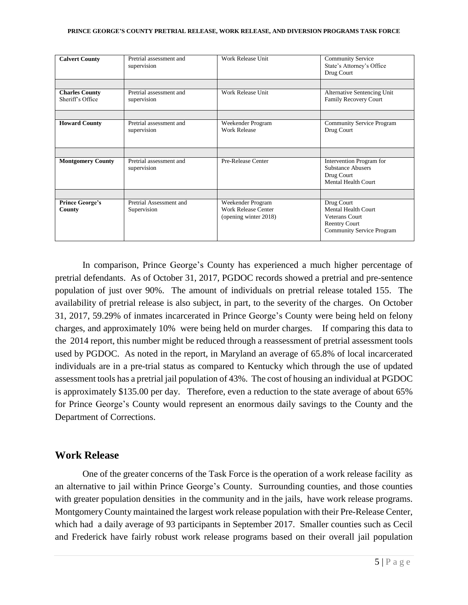| <b>Calvert County</b>                     | Pretrial assessment and<br>supervision | Work Release Unit                                                        | <b>Community Service</b><br>State's Attorney's Office<br>Drug Court                                                           |  |  |  |
|-------------------------------------------|----------------------------------------|--------------------------------------------------------------------------|-------------------------------------------------------------------------------------------------------------------------------|--|--|--|
|                                           |                                        |                                                                          |                                                                                                                               |  |  |  |
| <b>Charles County</b><br>Sheriff's Office | Pretrial assessment and<br>supervision | Work Release Unit                                                        | Alternative Sentencing Unit<br>Family Recovery Court                                                                          |  |  |  |
|                                           |                                        |                                                                          |                                                                                                                               |  |  |  |
| <b>Howard County</b>                      | Pretrial assessment and<br>supervision | Weekender Program<br><b>Work Release</b>                                 | <b>Community Service Program</b><br>Drug Court                                                                                |  |  |  |
|                                           |                                        |                                                                          |                                                                                                                               |  |  |  |
| <b>Montgomery County</b>                  | Pretrial assessment and<br>supervision | Pre-Release Center                                                       | Intervention Program for<br><b>Substance Abusers</b><br>Drug Court<br><b>Mental Health Court</b>                              |  |  |  |
|                                           |                                        |                                                                          |                                                                                                                               |  |  |  |
| <b>Prince George's</b><br>County          | Pretrial Assessment and<br>Supervision | Weekender Program<br><b>Work Release Center</b><br>(opening winter 2018) | Drug Court<br><b>Mental Health Court</b><br><b>Veterans Court</b><br><b>Reentry Court</b><br><b>Community Service Program</b> |  |  |  |

In comparison, Prince George's County has experienced a much higher percentage of pretrial defendants. As of October 31, 2017, PGDOC records showed a pretrial and pre-sentence population of just over 90%. The amount of individuals on pretrial release totaled 155. The availability of pretrial release is also subject, in part, to the severity of the charges. On October 31, 2017, 59.29% of inmates incarcerated in Prince George's County were being held on felony charges, and approximately 10% were being held on murder charges. If comparing this data to the 2014 report, this number might be reduced through a reassessment of pretrial assessment tools used by PGDOC. As noted in the report, in Maryland an average of 65.8% of local incarcerated individuals are in a pre-trial status as compared to Kentucky which through the use of updated assessment tools has a pretrial jail population of 43%. The cost of housing an individual at PGDOC is approximately \$135.00 per day. Therefore, even a reduction to the state average of about 65% for Prince George's County would represent an enormous daily savings to the County and the Department of Corrections.

### **Work Release**

 One of the greater concerns of the Task Force is the operation of a work release facility as an alternative to jail within Prince George's County. Surrounding counties, and those counties with greater population densities in the community and in the jails, have work release programs. Montgomery County maintained the largest work release population with their Pre-Release Center, which had a daily average of 93 participants in September 2017. Smaller counties such as Cecil and Frederick have fairly robust work release programs based on their overall jail population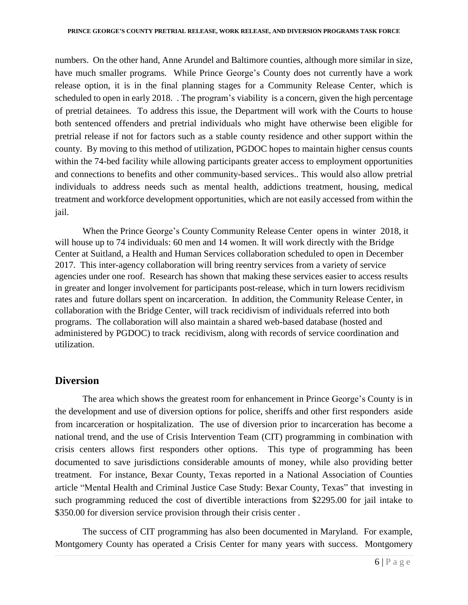numbers. On the other hand, Anne Arundel and Baltimore counties, although more similar in size, have much smaller programs. While Prince George's County does not currently have a work release option, it is in the final planning stages for a Community Release Center, which is scheduled to open in early 2018. . The program's viability is a concern, given the high percentage of pretrial detainees. To address this issue, the Department will work with the Courts to house both sentenced offenders and pretrial individuals who might have otherwise been eligible for pretrial release if not for factors such as a stable county residence and other support within the county. By moving to this method of utilization, PGDOC hopes to maintain higher census counts within the 74-bed facility while allowing participants greater access to employment opportunities and connections to benefits and other community-based services.. This would also allow pretrial individuals to address needs such as mental health, addictions treatment, housing, medical treatment and workforce development opportunities, which are not easily accessed from within the jail.

 When the Prince George's County Community Release Center opens in winter 2018, it will house up to 74 individuals: 60 men and 14 women. It will work directly with the Bridge Center at Suitland, a Health and Human Services collaboration scheduled to open in December 2017. This inter-agency collaboration will bring reentry services from a variety of service agencies under one roof. Research has shown that making these services easier to access results in greater and longer involvement for participants post-release, which in turn lowers recidivism rates and future dollars spent on incarceration. In addition, the Community Release Center, in collaboration with the Bridge Center, will track recidivism of individuals referred into both programs. The collaboration will also maintain a shared web-based database (hosted and administered by PGDOC) to track recidivism, along with records of service coordination and utilization.

## **Diversion**

The area which shows the greatest room for enhancement in Prince George's County is in the development and use of diversion options for police, sheriffs and other first responders aside from incarceration or hospitalization. The use of diversion prior to incarceration has become a national trend, and the use of Crisis Intervention Team (CIT) programming in combination with crisis centers allows first responders other options. This type of programming has been documented to save jurisdictions considerable amounts of money, while also providing better treatment. For instance, Bexar County, Texas reported in a National Association of Counties article "Mental Health and Criminal Justice Case Study: Bexar County, Texas" that investing in such programming reduced the cost of divertible interactions from \$2295.00 for jail intake to \$350.00 for diversion service provision through their crisis center.

The success of CIT programming has also been documented in Maryland. For example, Montgomery County has operated a Crisis Center for many years with success. Montgomery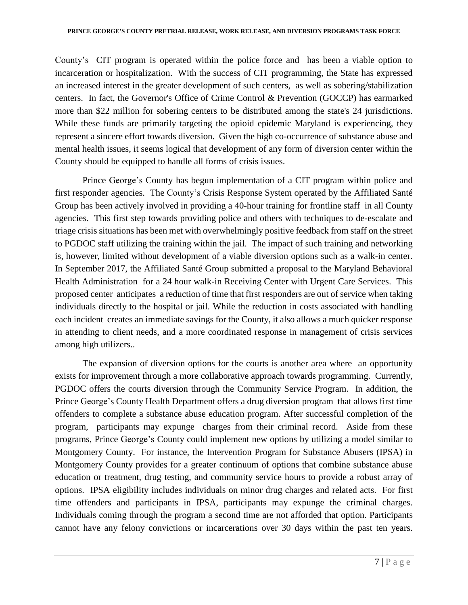County's CIT program is operated within the police force and has been a viable option to incarceration or hospitalization. With the success of CIT programming, the State has expressed an increased interest in the greater development of such centers, as well as sobering/stabilization centers. In fact, the Governor's Office of Crime Control & Prevention (GOCCP) has earmarked more than \$22 million for sobering centers to be distributed among the state's 24 jurisdictions. While these funds are primarily targeting the opioid epidemic Maryland is experiencing, they represent a sincere effort towards diversion. Given the high co-occurrence of substance abuse and mental health issues, it seems logical that development of any form of diversion center within the County should be equipped to handle all forms of crisis issues.

Prince George's County has begun implementation of a CIT program within police and first responder agencies. The County's Crisis Response System operated by the Affiliated Santé Group has been actively involved in providing a 40-hour training for frontline staff in all County agencies. This first step towards providing police and others with techniques to de-escalate and triage crisis situations has been met with overwhelmingly positive feedback from staff on the street to PGDOC staff utilizing the training within the jail. The impact of such training and networking is, however, limited without development of a viable diversion options such as a walk-in center. In September 2017, the Affiliated Santé Group submitted a proposal to the Maryland Behavioral Health Administration for a 24 hour walk-in Receiving Center with Urgent Care Services. This proposed center anticipates a reduction of time that first responders are out of service when taking individuals directly to the hospital or jail. While the reduction in costs associated with handling each incident creates an immediate savings for the County, it also allows a much quicker response in attending to client needs, and a more coordinated response in management of crisis services among high utilizers..

The expansion of diversion options for the courts is another area where an opportunity exists for improvement through a more collaborative approach towards programming. Currently, PGDOC offers the courts diversion through the Community Service Program. In addition, the Prince George's County Health Department offers a drug diversion program that allows first time offenders to complete a substance abuse education program. After successful completion of the program, participants may expunge charges from their criminal record. Aside from these programs, Prince George's County could implement new options by utilizing a model similar to Montgomery County. For instance, the Intervention Program for Substance Abusers (IPSA) in Montgomery County provides for a greater continuum of options that combine substance abuse education or treatment, drug testing, and community service hours to provide a robust array of options. IPSA eligibility includes individuals on minor drug charges and related acts. For first time offenders and participants in IPSA, participants may expunge the criminal charges. Individuals coming through the program a second time are not afforded that option. Participants cannot have any felony convictions or incarcerations over 30 days within the past ten years.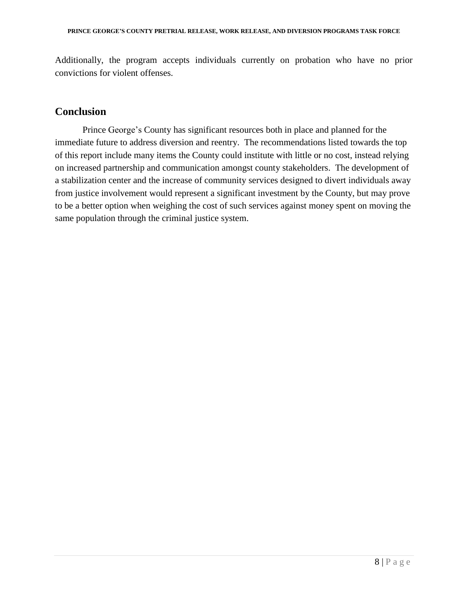Additionally, the program accepts individuals currently on probation who have no prior convictions for violent offenses.

### **Conclusion**

 Prince George's County has significant resources both in place and planned for the immediate future to address diversion and reentry. The recommendations listed towards the top of this report include many items the County could institute with little or no cost, instead relying on increased partnership and communication amongst county stakeholders. The development of a stabilization center and the increase of community services designed to divert individuals away from justice involvement would represent a significant investment by the County, but may prove to be a better option when weighing the cost of such services against money spent on moving the same population through the criminal justice system.